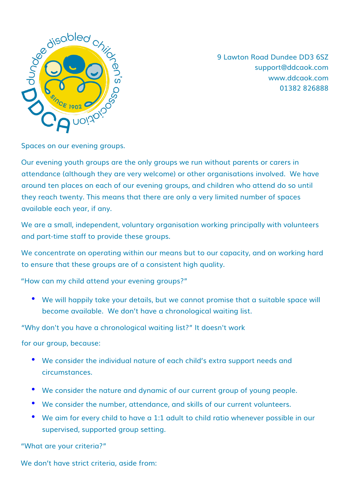

9 Lawton Road Dundee DD3 6SZ support@ddcaok.com www.ddcaok.com 01382 826888

Spaces on our evening groups.

Our evening youth groups are the only groups we run without parents or carers in attendance (although they are very welcome) or other organisations involved. We have around ten places on each of our evening groups, and children who attend do so until they reach twenty. This means that there are only a very limited number of spaces available each year, if any.

We are a small, independent, voluntary organisation working principally with volunteers and part-time staff to provide these groups.

We concentrate on operating within our means but to our capacity, and on working hard to ensure that these groups are of a consistent high quality.

"How can my child attend your evening groups?"

• We will happily take your details, but we cannot promise that a suitable space will become available. We don't have a chronological waiting list.

"Why don't you have a chronological waiting list?" It doesn't work

for our group, because:

- We consider the individual nature of each child's extra support needs and circumstances.
- We consider the nature and dynamic of our current group of young people.
- We consider the number, attendance, and skills of our current volunteers.
- We aim for every child to have a 1:1 adult to child ratio whenever possible in our supervised, supported group setting.

"What are your criteria?"

We don't have strict criteria, aside from: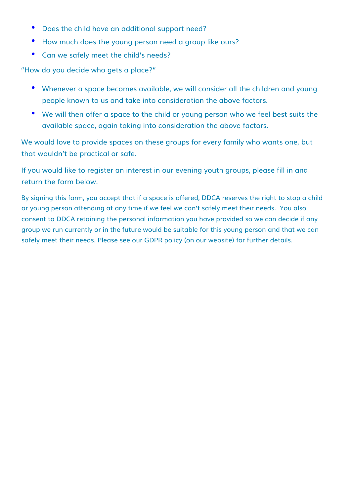- Does the child have an additional support need?
- How much does the young person need a group like ours?
- Can we safely meet the child's needs?

"How do you decide who gets a place?"

- Whenever a space becomes available, we will consider all the children and young people known to us and take into consideration the above factors.
- We will then offer a space to the child or young person who we feel best suits the available space, again taking into consideration the above factors.

We would love to provide spaces on these groups for every family who wants one, but that wouldn't be practical or safe.

If you would like to register an interest in our evening youth groups, please fill in and return the form below.

By signing this form, you accept that if a space is offered, DDCA reserves the right to stop a child or young person attending at any time if we feel we can't safely meet their needs. You also consent to DDCA retaining the personal information you have provided so we can decide if any group we run currently or in the future would be suitable for this young person and that we can safely meet their needs. Please see our GDPR policy (on our website) for further details.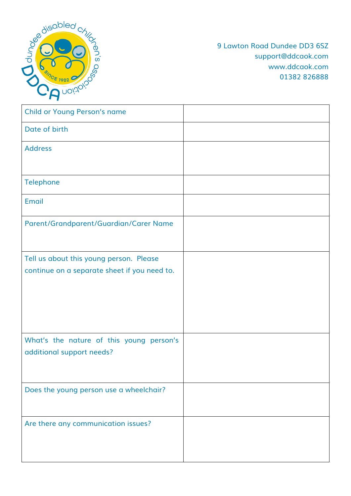

9 Lawton Road Dundee DD3 6SZ support@ddcaok.com www.ddcaok.com 01382 826888

| <b>Child or Young Person's name</b>          |  |
|----------------------------------------------|--|
| Date of birth                                |  |
| <b>Address</b>                               |  |
|                                              |  |
| Telephone                                    |  |
| Email                                        |  |
| Parent/Grandparent/Guardian/Carer Name       |  |
|                                              |  |
| Tell us about this young person. Please      |  |
| continue on a separate sheet if you need to. |  |
|                                              |  |
|                                              |  |
|                                              |  |
| What's the nature of this young person's     |  |
| additional support needs?                    |  |
|                                              |  |
| Does the young person use a wheelchair?      |  |
|                                              |  |
| Are there any communication issues?          |  |
|                                              |  |
|                                              |  |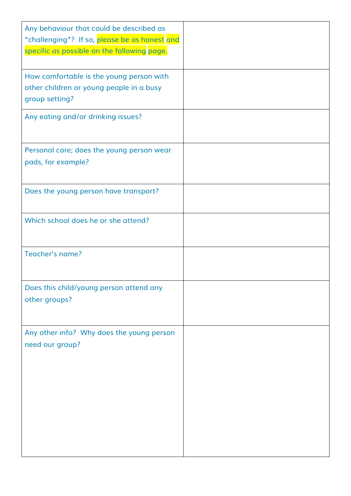| Any behaviour that could be described as<br>"challenging"? If so, please be as honest and<br>specific as possible on the following page. |  |
|------------------------------------------------------------------------------------------------------------------------------------------|--|
| How comfortable is the young person with<br>other children or young people in a busy<br>group setting?                                   |  |
| Any eating and/or drinking issues?                                                                                                       |  |
| Personal care; does the young person wear<br>pads, for example?                                                                          |  |
| Does the young person have transport?                                                                                                    |  |
| Which school does he or she attend?                                                                                                      |  |
| Teacher's name?                                                                                                                          |  |
| Does this child/young person attend any<br>other groups?                                                                                 |  |
| Any other info? Why does the young person<br>need our group?                                                                             |  |